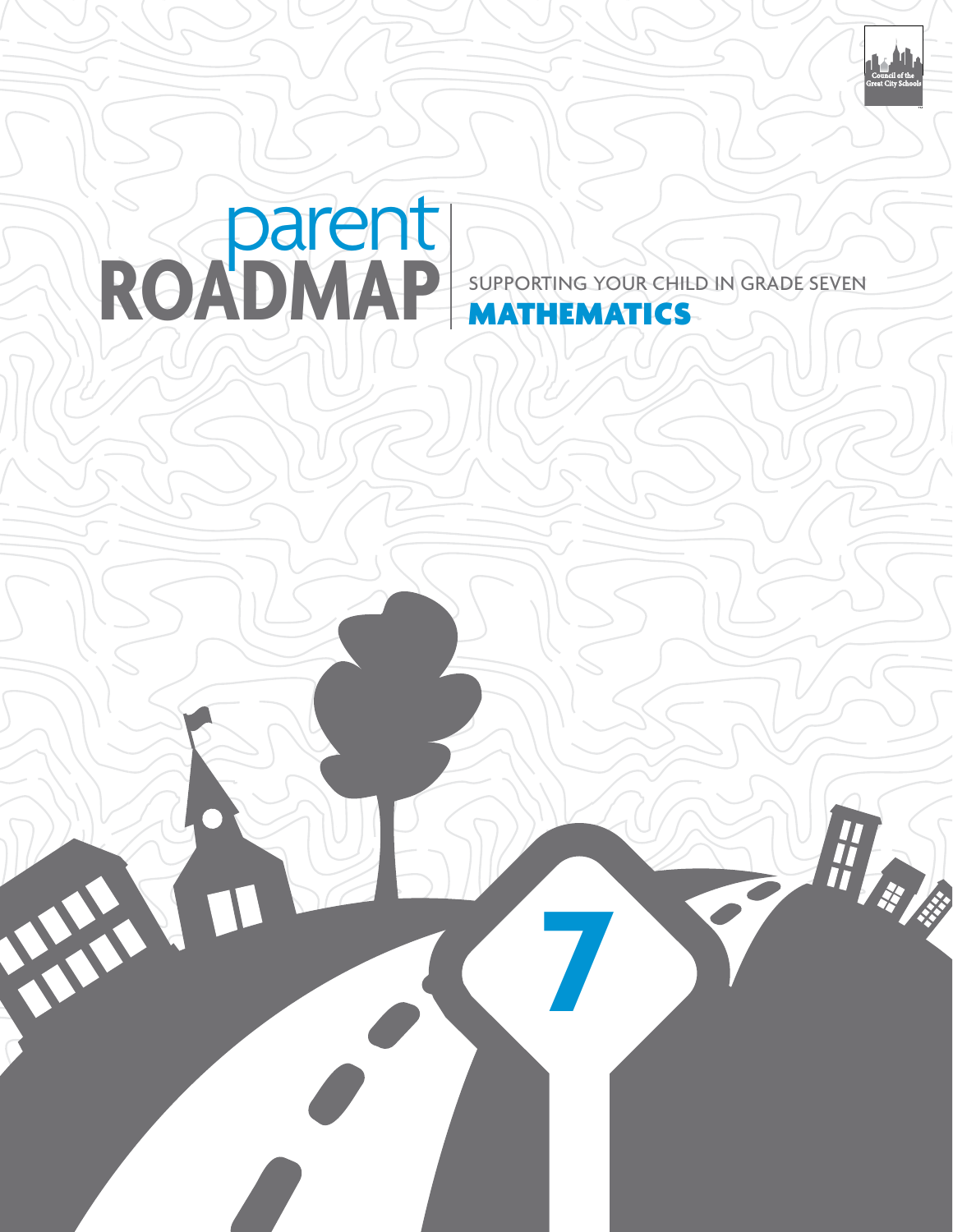

# ROADMAP SUPPORTING YOUR CHIL supporting your child IN Grade seven

**7**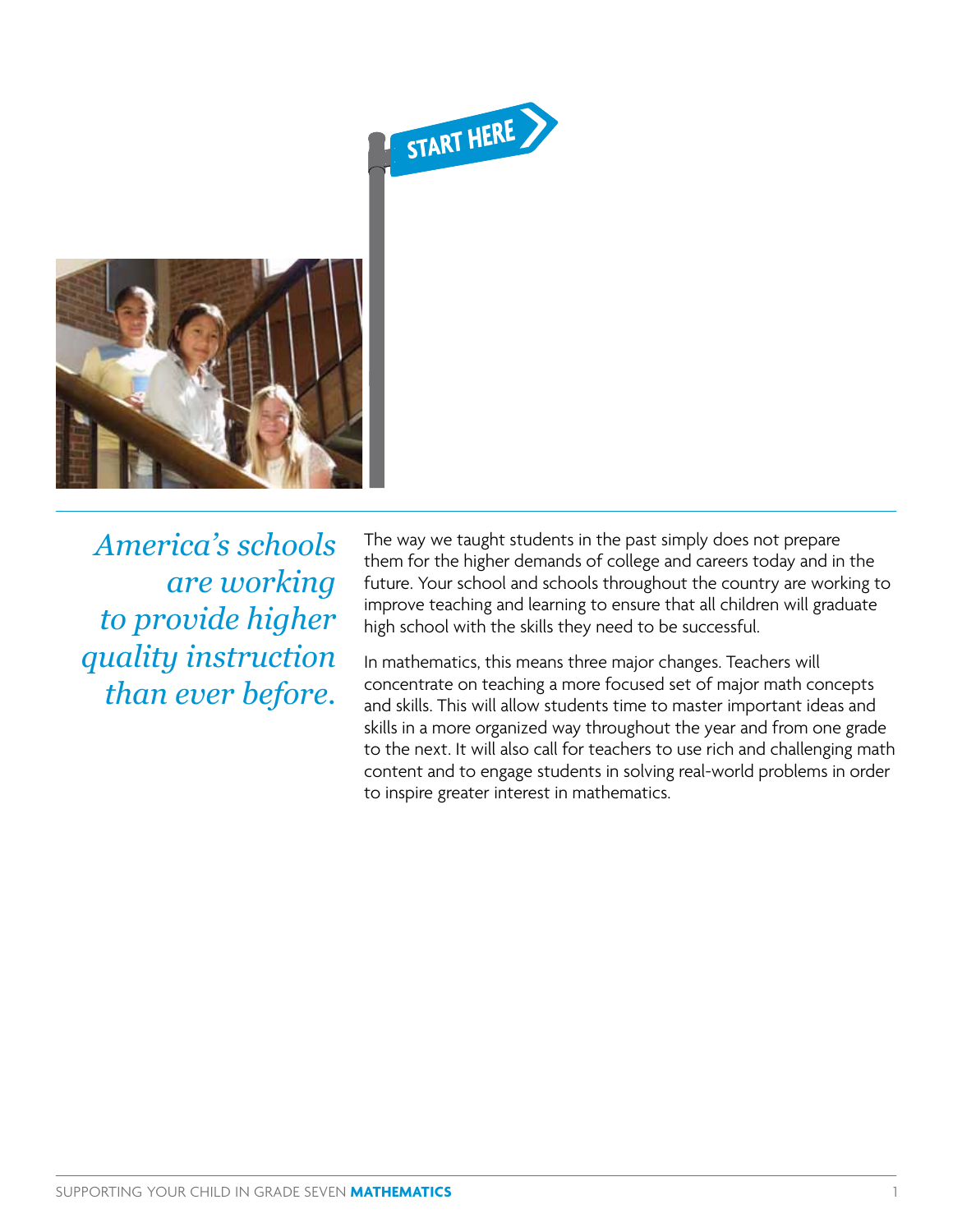



*America's schools are working to provide higher quality instruction than ever before.*

The way we taught students in the past simply does not prepare them for the higher demands of college and careers today and in the future. Your school and schools throughout the country are working to improve teaching and learning to ensure that all children will graduate high school with the skills they need to be successful.

In mathematics, this means three major changes. Teachers will concentrate on teaching a more focused set of major math concepts and skills. This will allow students time to master important ideas and skills in a more organized way throughout the year and from one grade to the next. It will also call for teachers to use rich and challenging math content and to engage students in solving real-world problems in order to inspire greater interest in mathematics.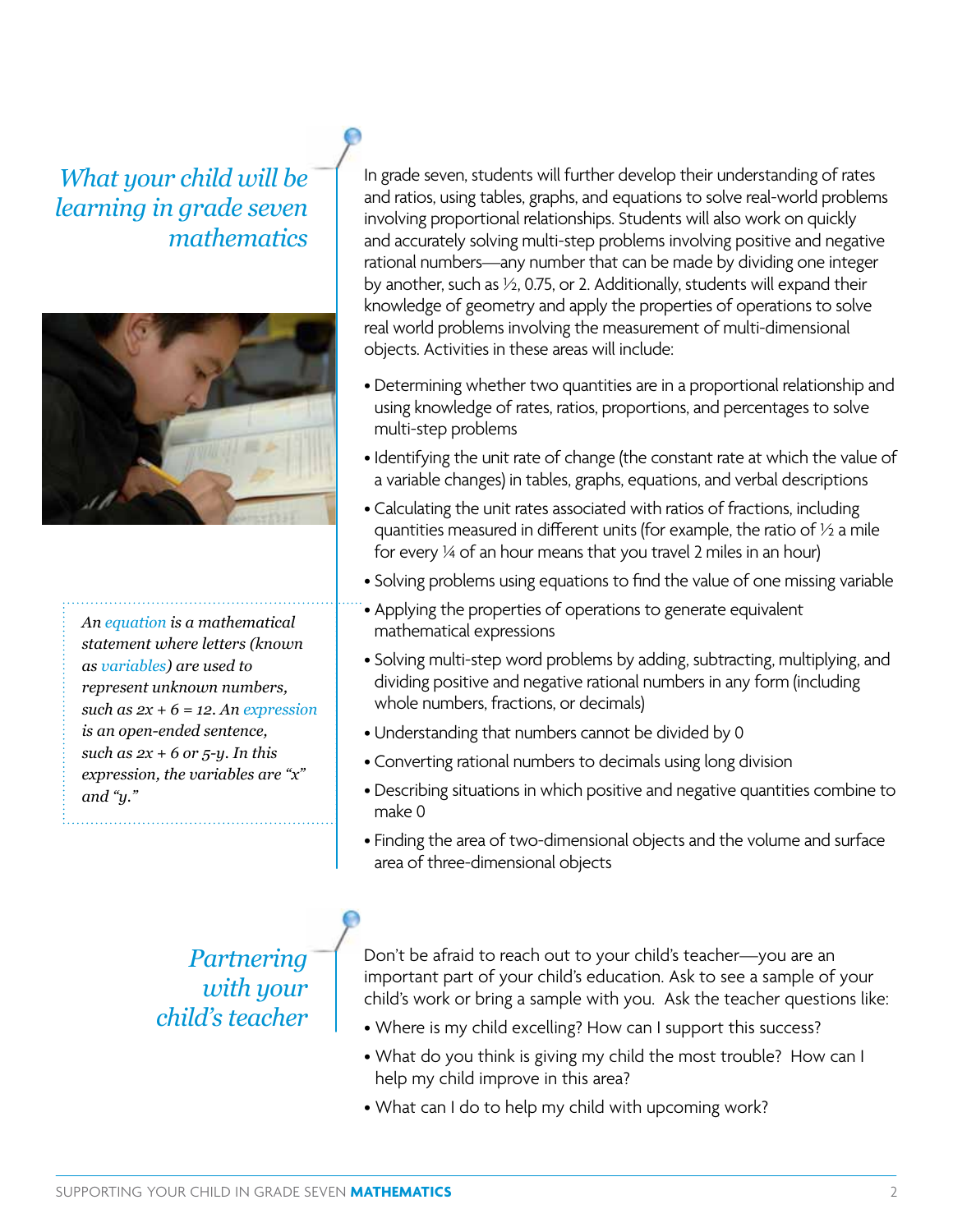## *What your child will be learning in grade seven mathematics*



*An equation is a mathematical statement where letters (known as variables) are used to represent unknown numbers, such as 2x + 6 = 12. An expression is an open-ended sentence, such as 2x + 6 or 5-y. In this expression, the variables are "x" and "y."*

In grade seven, students will further develop their understanding of rates and ratios, using tables, graphs, and equations to solve real-world problems involving proportional relationships. Students will also work on quickly and accurately solving multi-step problems involving positive and negative rational numbers—any number that can be made by dividing one integer by another, such as ½, 0.75, or 2. Additionally, students will expand their knowledge of geometry and apply the properties of operations to solve real world problems involving the measurement of multi-dimensional objects. Activities in these areas will include:

- Determining whether two quantities are in a proportional relationship and using knowledge of rates, ratios, proportions, and percentages to solve multi-step problems
- Identifying the unit rate of change (the constant rate at which the value of a variable changes) in tables, graphs, equations, and verbal descriptions
- Calculating the unit rates associated with ratios of fractions, including quantities measured in different units (for example, the ratio of  $\frac{1}{2}$  a mile for every ¼ of an hour means that you travel 2 miles in an hour)
- Solving problems using equations to find the value of one missing variable
- Applying the properties of operations to generate equivalent mathematical expressions
- Solving multi-step word problems by adding, subtracting, multiplying, and dividing positive and negative rational numbers in any form (including whole numbers, fractions, or decimals)
- Understanding that numbers cannot be divided by 0
- Converting rational numbers to decimals using long division
- Describing situations in which positive and negative quantities combine to make 0
- Finding the area of two-dimensional objects and the volume and surface area of three-dimensional objects

*Partnering with your child's teacher* Don't be afraid to reach out to your child's teacher—you are an important part of your child's education. Ask to see a sample of your child's work or bring a sample with you. Ask the teacher questions like:

- Where is my child excelling? How can I support this success?
- What do you think is giving my child the most trouble? How can I help my child improve in this area?
- What can I do to help my child with upcoming work?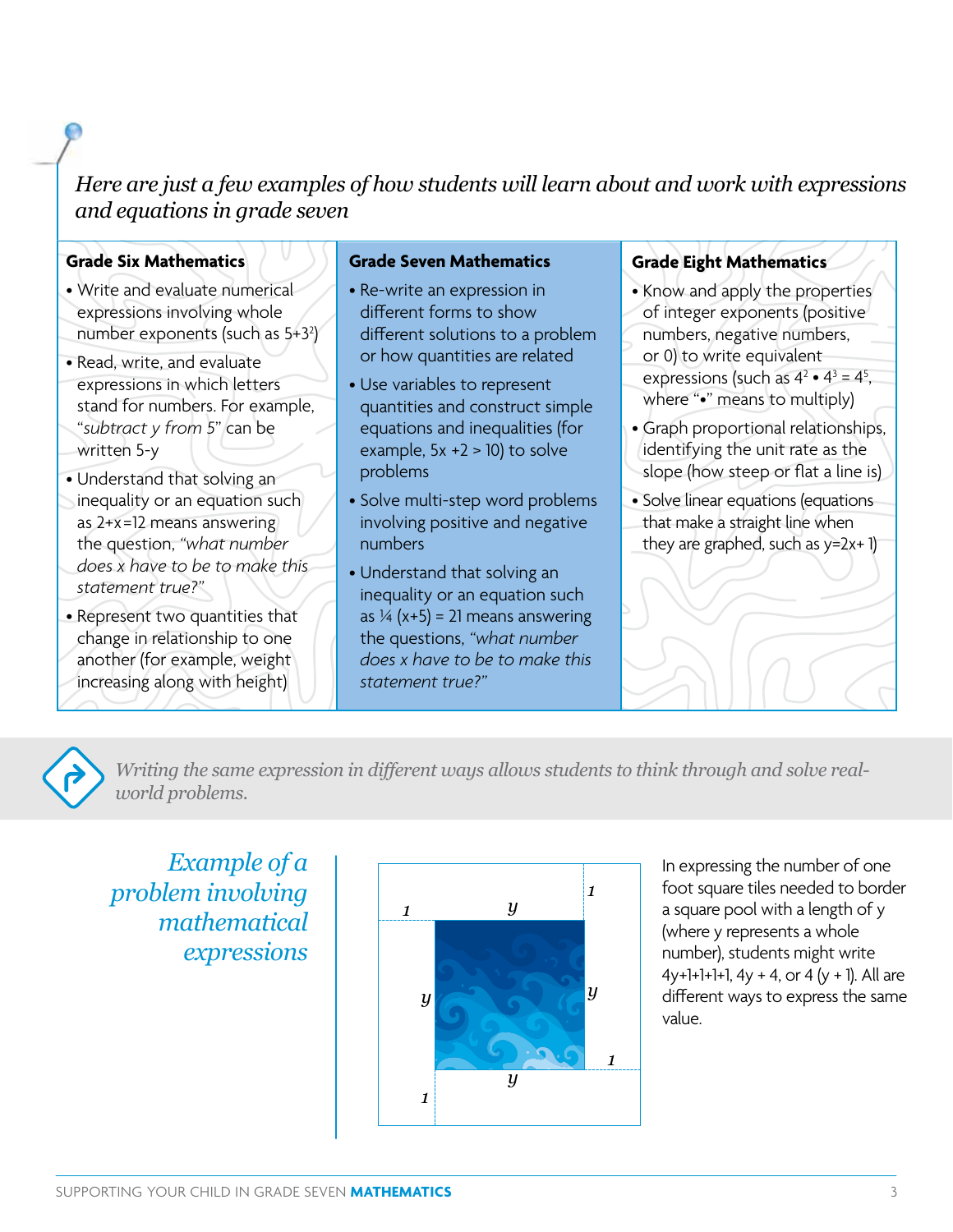## *Here are just a few examples of how students will learn about and work with expressions and equations in grade seven*

## **Grade Six Mathematics**

- Write and evaluate numerical expressions involving whole number exponents (such as 5+3 $^2$ )
- Read, write, and evaluate expressions in which letters stand for numbers. For example, "*subtract y from 5*" can be written 5-y
- Understand that solving an inequality or an equation such as 2+x=12 means answering the question, *"what number does x have to be to make this statement true?"*
- Represent two quantities that change in relationship to one another (for example, weight increasing along with height)

#### **Grade Seven Mathematics**

- Re-write an expression in different forms to show different solutions to a problem or how quantities are related
- Use variables to represent quantities and construct simple equations and inequalities (for example,  $5x + 2 > 10$ ) to solve problems
- Solve multi-step word problems involving positive and negative numbers
- Understand that solving an inequality or an equation such as  $\frac{1}{4}$  (x+5) = 21 means answering the questions, *"what number does x have to be to make this statement true?"*

### **Grade Eight Mathematics**

- Know and apply the properties of integer exponents (positive
- numbers, negative numbers,
- or 0) to write equivalent
- expressions (such as  $4^2 \cdot 4^3 = 4^5$ , where "•" means to multiply)
- Graph proportional relationships, identifying the unit rate as the slope (how steep or flat a line is)
- Solve linear equations (equations that make a straight line when they are graphed, such as  $y=2x+1$



*Writing the same expression in different ways allows students to think through and solve realworld problems.*

*Example of a problem involving mathematical expressions*



In expressing the number of one foot square tiles needed to border a square pool with a length of y (where y represents a whole number), students might write  $4y+1+1+1$ ,  $4y + 4$ , or  $4(y + 1)$ . All are different ways to express the same value.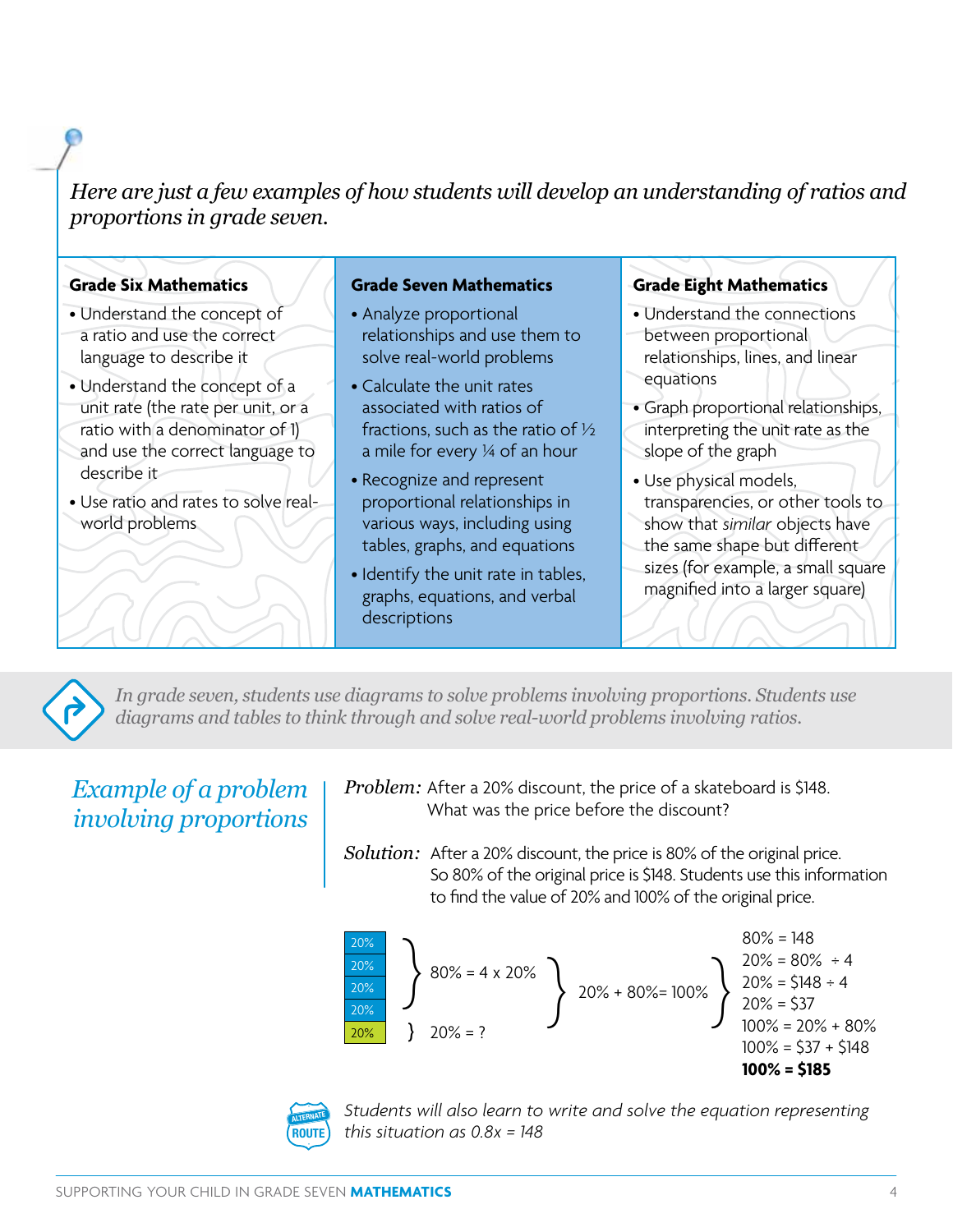*Here are just a few examples of how students will develop an understanding of ratios and proportions in grade seven.* 

#### **Grade Six Mathematics**

- Understand the concept of a ratio and use the correct language to describe it
- Understand the concept of a unit rate (the rate per unit, or a ratio with a denominator of 1) and use the correct language to describe it
- Use ratio and rates to solve realworld problems

#### **Grade Seven Mathematics**

- Analyze proportional relationships and use them to solve real-world problems
- Calculate the unit rates associated with ratios of fractions, such as the ratio of ½ a mile for every ¼ of an hour
- Recognize and represent proportional relationships in various ways, including using tables, graphs, and equations
- Identify the unit rate in tables, graphs, equations, and verbal descriptions

#### **Grade Eight Mathematics**

- Understand the connections between proportional relationships, lines, and linear equations
- Graph proportional relationships, interpreting the unit rate as the slope of the graph
- Use physical models, transparencies, or other tools to show that *similar* objects have the same shape but different
- sizes (for example, a small square magnified into a larger square)



*In grade seven, students use diagrams to solve problems involving proportions. Students use diagrams and tables to think through and solve real-world problems involving ratios.* 

## *Example of a problem involving proportions*

*Problem:* After a 20% discount, the price of a skateboard is \$148. What was the price before the discount?

*Solution:* After a 20% discount, the price is 80% of the original price. So 80% of the original price is \$148. Students use this information to find the value of 20% and 100% of the original price.





*Students will also learn to write and solve the equation representing this situation as 0.8x = 148*